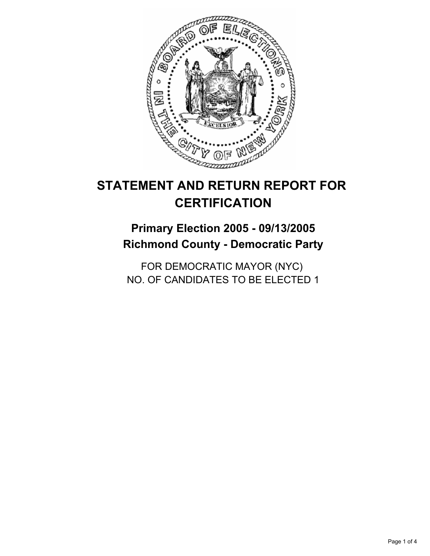

# **Primary Election 2005 - 09/13/2005 Richmond County - Democratic Party**

FOR DEMOCRATIC MAYOR (NYC) NO. OF CANDIDATES TO BE ELECTED 1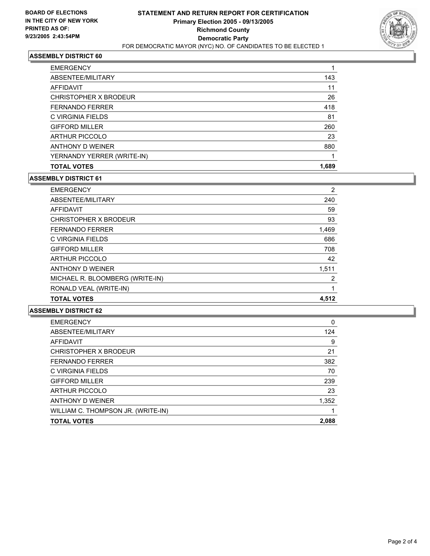

| <b>EMERGENCY</b>           |       |
|----------------------------|-------|
| ABSENTEE/MILITARY          | 143   |
| <b>AFFIDAVIT</b>           | 11    |
| CHRISTOPHER X BRODEUR      | 26    |
| <b>FERNANDO FERRER</b>     | 418   |
| C VIRGINIA FIELDS          | 81    |
| <b>GIFFORD MILLER</b>      | 260   |
| <b>ARTHUR PICCOLO</b>      | 23    |
| ANTHONY D WEINER           | 880   |
| YERNANDY YERRER (WRITE-IN) |       |
| <b>TOTAL VOTES</b>         | 1,689 |

#### **ASSEMBLY DISTRICT 61**

| <b>EMERGENCY</b>                | 2     |
|---------------------------------|-------|
| ABSENTEE/MILITARY               | 240   |
| AFFIDAVIT                       | 59    |
| CHRISTOPHER X BRODEUR           | 93    |
| <b>FERNANDO FERRER</b>          | 1,469 |
| C VIRGINIA FIELDS               | 686   |
| <b>GIFFORD MILLER</b>           | 708   |
| <b>ARTHUR PICCOLO</b>           | 42    |
| ANTHONY D WEINER                | 1,511 |
| MICHAEL R. BLOOMBERG (WRITE-IN) | 2     |
| RONALD VEAL (WRITE-IN)          |       |
| <b>TOTAL VOTES</b>              | 4,512 |

| <b>EMERGENCY</b>                   | 0     |
|------------------------------------|-------|
| ABSENTEE/MILITARY                  | 124   |
| <b>AFFIDAVIT</b>                   | 9     |
| CHRISTOPHER X BRODEUR              | 21    |
| <b>FERNANDO FERRER</b>             | 382   |
| C VIRGINIA FIELDS                  | 70    |
| <b>GIFFORD MILLER</b>              | 239   |
| <b>ARTHUR PICCOLO</b>              | 23    |
| ANTHONY D WEINER                   | 1,352 |
| WILLIAM C. THOMPSON JR. (WRITE-IN) |       |
| <b>TOTAL VOTES</b>                 | 2,088 |
|                                    |       |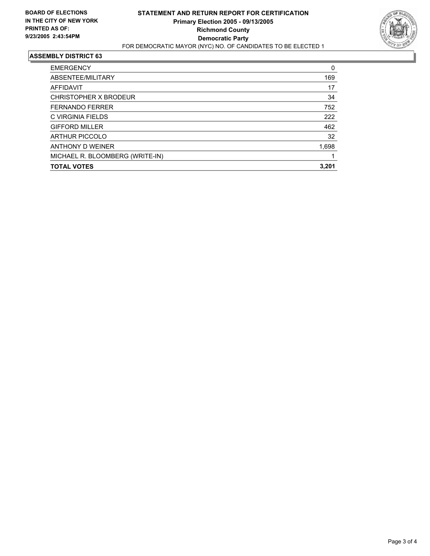

| <b>EMERGENCY</b>                | 0     |
|---------------------------------|-------|
| ABSENTEE/MILITARY               | 169   |
| AFFIDAVIT                       | 17    |
| CHRISTOPHER X BRODEUR           | 34    |
| <b>FERNANDO FERRER</b>          | 752   |
| C VIRGINIA FIELDS               | 222   |
| <b>GIFFORD MILLER</b>           | 462   |
| <b>ARTHUR PICCOLO</b>           | 32    |
| ANTHONY D WEINER                | 1,698 |
| MICHAEL R. BLOOMBERG (WRITE-IN) |       |
| <b>TOTAL VOTES</b>              | 3,201 |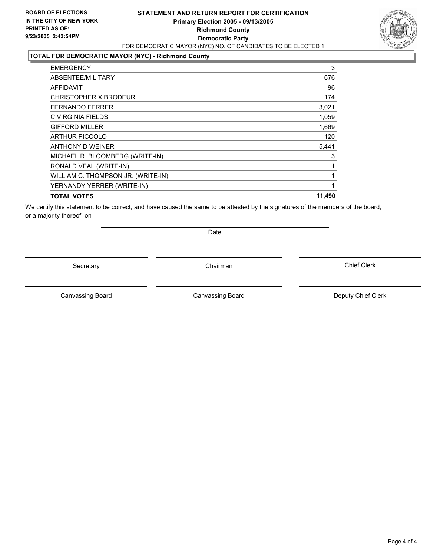#### **STATEMENT AND RETURN REPORT FOR CERTIFICATION Primary Election 2005 - 09/13/2005 Richmond County Democratic Party** FOR DEMOCRATIC MAYOR (NYC) NO. OF CANDIDATES TO BE ELECTED 1



#### **TOTAL FOR DEMOCRATIC MAYOR (NYC) - Richmond County**

| 3      |
|--------|
| 676    |
| 96     |
| 174    |
| 3,021  |
| 1,059  |
| 1,669  |
| 120    |
| 5,441  |
| 3      |
|        |
|        |
|        |
| 11,490 |
|        |

We certify this statement to be correct, and have caused the same to be attested by the signatures of the members of the board, or a majority thereof, on

Secretary **Chairman** 

Date

Canvassing Board **Canvassing Board** Canvassing Board **Deputy Chief Clerk** 

Canvassing Board

Chief Clerk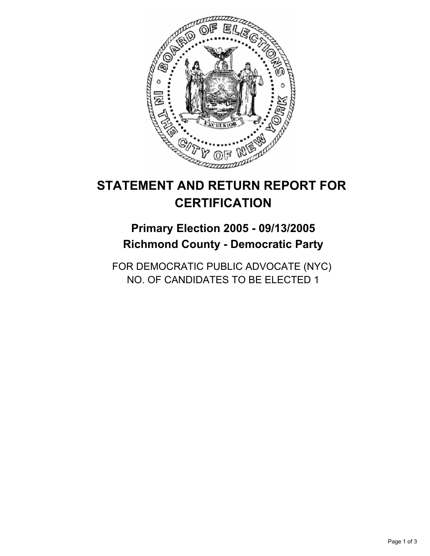

# **Primary Election 2005 - 09/13/2005 Richmond County - Democratic Party**

FOR DEMOCRATIC PUBLIC ADVOCATE (NYC) NO. OF CANDIDATES TO BE ELECTED 1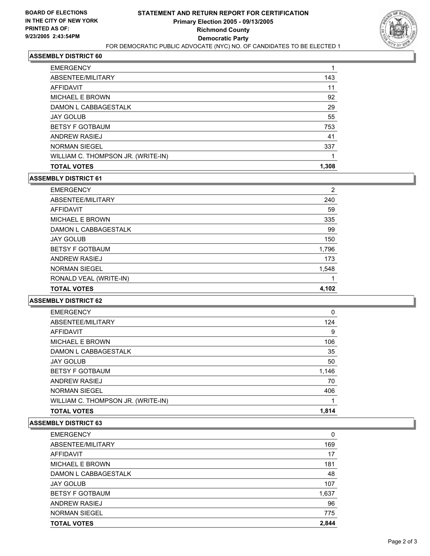

| <b>EMERGENCY</b>                   |       |
|------------------------------------|-------|
| ABSENTEE/MILITARY                  | 143   |
| AFFIDAVIT                          | 11    |
| <b>MICHAEL E BROWN</b>             | 92    |
| DAMON L CABBAGESTALK               | 29    |
| <b>JAY GOLUB</b>                   | 55    |
| <b>BETSY F GOTBAUM</b>             | 753   |
| <b>ANDREW RASIEJ</b>               | 41    |
| <b>NORMAN SIEGEL</b>               | 337   |
| WILLIAM C. THOMPSON JR. (WRITE-IN) |       |
| <b>TOTAL VOTES</b>                 | 1,308 |
|                                    |       |

#### **ASSEMBLY DISTRICT 61**

| <b>EMERGENCY</b>       | 2     |
|------------------------|-------|
| ABSENTEE/MILITARY      | 240   |
| AFFIDAVIT              | 59    |
| MICHAEL E BROWN        | 335   |
| DAMON L CABBAGESTALK   | 99    |
| <b>JAY GOLUB</b>       | 150   |
| <b>BETSY F GOTBAUM</b> | 1,796 |
| ANDREW RASIEJ          | 173   |
| <b>NORMAN SIEGEL</b>   | 1,548 |
| RONALD VEAL (WRITE-IN) |       |
| <b>TOTAL VOTES</b>     | 4,102 |

## **ASSEMBLY DISTRICT 62**

| <b>EMERGENCY</b>                   | 0     |
|------------------------------------|-------|
| ABSENTEE/MILITARY                  | 124   |
| AFFIDAVIT                          | 9     |
| MICHAEL E BROWN                    | 106   |
| DAMON L CABBAGESTALK               | 35    |
| <b>JAY GOLUB</b>                   | 50    |
| <b>BETSY F GOTBAUM</b>             | 1,146 |
| ANDREW RASIEJ                      | 70    |
| <b>NORMAN SIEGEL</b>               | 406   |
| WILLIAM C. THOMPSON JR. (WRITE-IN) |       |
| <b>TOTAL VOTES</b>                 | 1,814 |

| <b>EMERGENCY</b>       | 0     |
|------------------------|-------|
| ABSENTEE/MILITARY      | 169   |
| AFFIDAVIT              | 17    |
| <b>MICHAEL E BROWN</b> | 181   |
| DAMON L CABBAGESTALK   | 48    |
| <b>JAY GOLUB</b>       | 107   |
| <b>BETSY F GOTBAUM</b> | 1,637 |
| <b>ANDREW RASIEJ</b>   | 96    |
| <b>NORMAN SIEGEL</b>   | 775   |
| <b>TOTAL VOTES</b>     | 2.844 |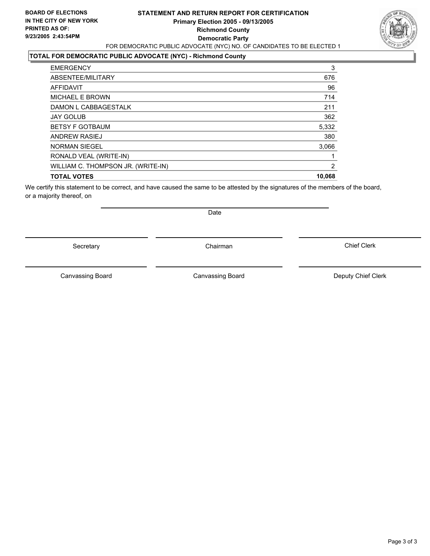#### **STATEMENT AND RETURN REPORT FOR CERTIFICATION Primary Election 2005 - 09/13/2005 Richmond County Democratic Party** FOR DEMOCRATIC PUBLIC ADVOCATE (NYC) NO. OF CANDIDATES TO BE ELECTED 1



## **TOTAL FOR DEMOCRATIC PUBLIC ADVOCATE (NYC) - Richmond County**

| <b>EMERGENCY</b>                   | 3      |
|------------------------------------|--------|
| ABSENTEE/MILITARY                  | 676    |
| AFFIDAVIT                          | 96     |
| MICHAEL E BROWN                    | 714    |
| DAMON L CABBAGESTALK               | 211    |
| <b>JAY GOLUB</b>                   | 362    |
| <b>BETSY F GOTBAUM</b>             | 5,332  |
| ANDREW RASIEJ                      | 380    |
| <b>NORMAN SIEGEL</b>               | 3,066  |
| RONALD VEAL (WRITE-IN)             |        |
| WILLIAM C. THOMPSON JR. (WRITE-IN) | 2      |
| <b>TOTAL VOTES</b>                 | 10,068 |
|                                    |        |

We certify this statement to be correct, and have caused the same to be attested by the signatures of the members of the board, or a majority thereof, on

Secretary **Chairman** 

Date

Canvassing Board **Canvassing Board** Canvassing Board **Deputy Chief Clerk** 

Canvassing Board

Chief Clerk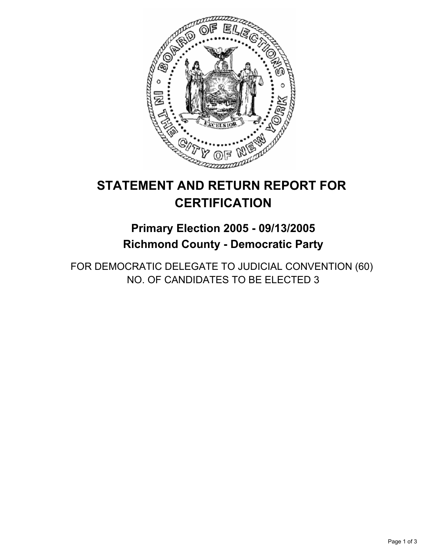

# **Primary Election 2005 - 09/13/2005 Richmond County - Democratic Party**

FOR DEMOCRATIC DELEGATE TO JUDICIAL CONVENTION (60) NO. OF CANDIDATES TO BE ELECTED 3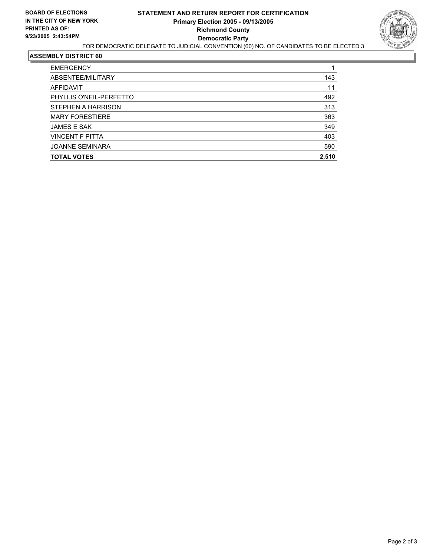

| <b>EMERGENCY</b>        |       |
|-------------------------|-------|
| ABSENTEE/MILITARY       | 143   |
| AFFIDAVIT               | 11    |
| PHYLLIS O'NEIL-PERFETTO | 492   |
| STEPHEN A HARRISON      | 313   |
| <b>MARY FORESTIERE</b>  | 363   |
| <b>JAMES E SAK</b>      | 349   |
| <b>VINCENT F PITTA</b>  | 403   |
| <b>JOANNE SEMINARA</b>  | 590   |
| <b>TOTAL VOTES</b>      | 2,510 |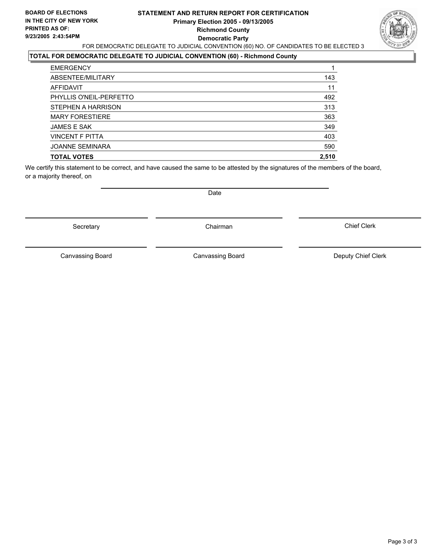#### **STATEMENT AND RETURN REPORT FOR CERTIFICATION Primary Election 2005 - 09/13/2005 Richmond County Democratic Party** FOR DEMOCRATIC DELEGATE TO JUDICIAL CONVENTION (60) NO. OF CANDIDATES TO BE ELECTED 3



## **TOTAL FOR DEMOCRATIC DELEGATE TO JUDICIAL CONVENTION (60) - Richmond County**

| <b>EMERGENCY</b>        |       |
|-------------------------|-------|
| ABSENTEE/MILITARY       | 143   |
| AFFIDAVIT               | 11    |
| PHYLLIS O'NEIL-PERFETTO | 492   |
| STEPHEN A HARRISON      | 313   |
| <b>MARY FORESTIERE</b>  | 363   |
| <b>JAMES E SAK</b>      | 349   |
| <b>VINCENT F PITTA</b>  | 403   |
| <b>JOANNE SEMINARA</b>  | 590   |
| <b>TOTAL VOTES</b>      | 2.510 |

We certify this statement to be correct, and have caused the same to be attested by the signatures of the members of the board, or a majority thereof, on

Date

Secretary **Chairman** 

Canvassing Board **Canvassing Canvassing Board** Deputy Chief Clerk

Canvassing Board

Chief Clerk

Page 3 of 3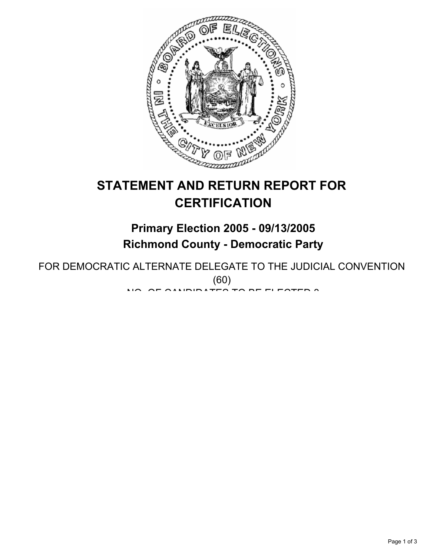

# **Primary Election 2005 - 09/13/2005 Richmond County - Democratic Party**

FOR DEMOCRATIC ALTERNATE DELEGATE TO THE JUDICIAL CONVENTION (60) NO. OF OILIDIDATES TO BE ELESTED 3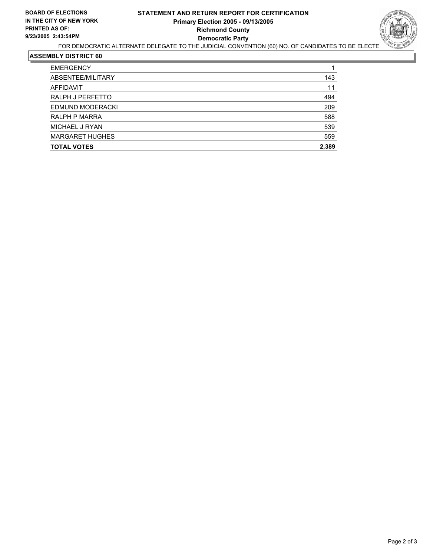# **STATEMENT AND RETURN REPORT FOR CERTIFICATION Primary Election 2005 - 09/13/2005 Richmond County Democratic Party**



# FOR DEMOCRATIC ALTERNATE DELEGATE TO THE JUDICIAL CONVENTION (60) NO. OF CANDIDATES TO BE ELECTE

| <b>EMERGENCY</b>       |       |
|------------------------|-------|
| ABSENTEE/MILITARY      | 143   |
| AFFIDAVIT              | 11    |
| RALPH J PERFETTO       | 494   |
| EDMUND MODERACKI       | 209   |
| RALPH P MARRA          | 588   |
| MICHAEL J RYAN         | 539   |
| <b>MARGARET HUGHES</b> | 559   |
| <b>TOTAL VOTES</b>     | 2,389 |